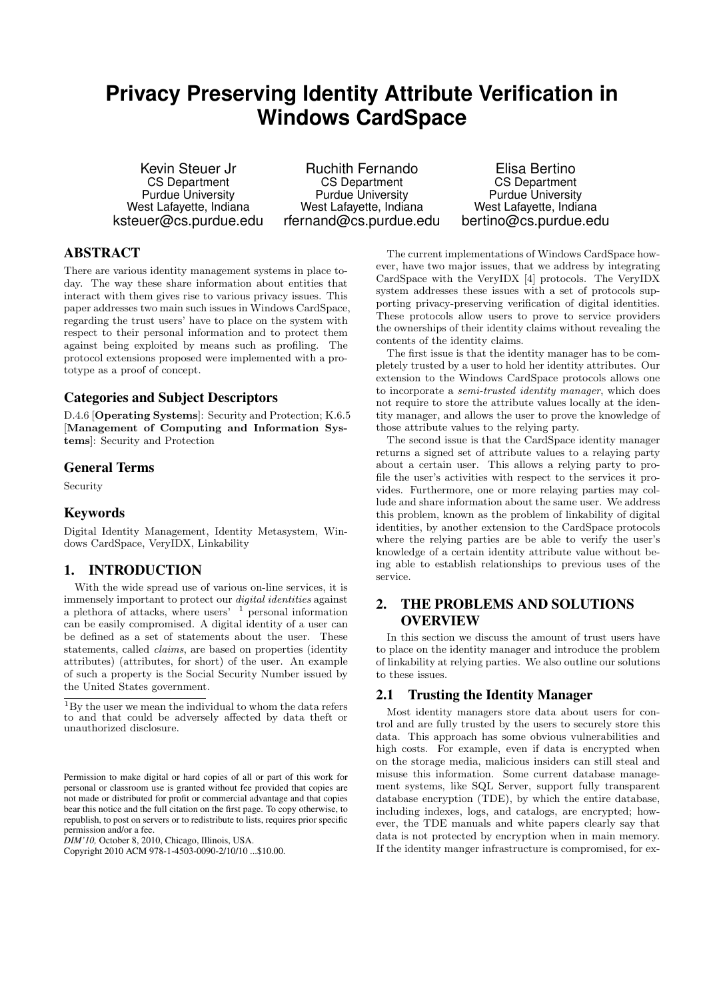# **Privacy Preserving Identity Attribute Verification in Windows CardSpace**

Kevin Steuer Jr CS Department Purdue University West Lafayette, Indiana ksteuer@cs.purdue.edu

Ruchith Fernando CS Department Purdue University West Lafayette, Indiana rfernand@cs.purdue.edu

Elisa Bertino CS Department Purdue University West Lafayette, Indiana bertino@cs.purdue.edu

# ABSTRACT

There are various identity management systems in place today. The way these share information about entities that interact with them gives rise to various privacy issues. This paper addresses two main such issues in Windows CardSpace, regarding the trust users' have to place on the system with respect to their personal information and to protect them against being exploited by means such as profiling. The protocol extensions proposed were implemented with a prototype as a proof of concept.

# Categories and Subject Descriptors

D.4.6 [Operating Systems]: Security and Protection; K.6.5 [Management of Computing and Information Systems]: Security and Protection

### General Terms

Security

## Keywords

Digital Identity Management, Identity Metasystem, Windows CardSpace, VeryIDX, Linkability

# 1. INTRODUCTION

With the wide spread use of various on-line services, it is immensely important to protect our digital identities against a plethora of attacks, where users'  $\frac{1}{1}$  personal information can be easily compromised. A digital identity of a user can be defined as a set of statements about the user. These statements, called claims, are based on properties (identity attributes) (attributes, for short) of the user. An example of such a property is the Social Security Number issued by the United States government.

*DIM'10,* October 8, 2010, Chicago, Illinois, USA.

The current implementations of Windows CardSpace however, have two major issues, that we address by integrating CardSpace with the VeryIDX [4] protocols. The VeryIDX system addresses these issues with a set of protocols supporting privacy-preserving verification of digital identities. These protocols allow users to prove to service providers the ownerships of their identity claims without revealing the contents of the identity claims.

The first issue is that the identity manager has to be completely trusted by a user to hold her identity attributes. Our extension to the Windows CardSpace protocols allows one to incorporate a semi-trusted identity manager, which does not require to store the attribute values locally at the identity manager, and allows the user to prove the knowledge of those attribute values to the relying party.

The second issue is that the CardSpace identity manager returns a signed set of attribute values to a relaying party about a certain user. This allows a relying party to profile the user's activities with respect to the services it provides. Furthermore, one or more relaying parties may collude and share information about the same user. We address this problem, known as the problem of linkability of digital identities, by another extension to the CardSpace protocols where the relying parties are be able to verify the user's knowledge of a certain identity attribute value without being able to establish relationships to previous uses of the service.

# 2. THE PROBLEMS AND SOLUTIONS **OVERVIEW**

In this section we discuss the amount of trust users have to place on the identity manager and introduce the problem of linkability at relying parties. We also outline our solutions to these issues.

# 2.1 Trusting the Identity Manager

Most identity managers store data about users for control and are fully trusted by the users to securely store this data. This approach has some obvious vulnerabilities and high costs. For example, even if data is encrypted when on the storage media, malicious insiders can still steal and misuse this information. Some current database management systems, like SQL Server, support fully transparent database encryption (TDE), by which the entire database, including indexes, logs, and catalogs, are encrypted; however, the TDE manuals and white papers clearly say that data is not protected by encryption when in main memory. If the identity manger infrastructure is compromised, for ex-

 $1By$  the user we mean the individual to whom the data refers to and that could be adversely affected by data theft or unauthorized disclosure.

Permission to make digital or hard copies of all or part of this work for personal or classroom use is granted without fee provided that copies are not made or distributed for profit or commercial advantage and that copies bear this notice and the full citation on the first page. To copy otherwise, to republish, to post on servers or to redistribute to lists, requires prior specific permission and/or a fee.

Copyright 2010 ACM 978-1-4503-0090-2/10/10 ...\$10.00.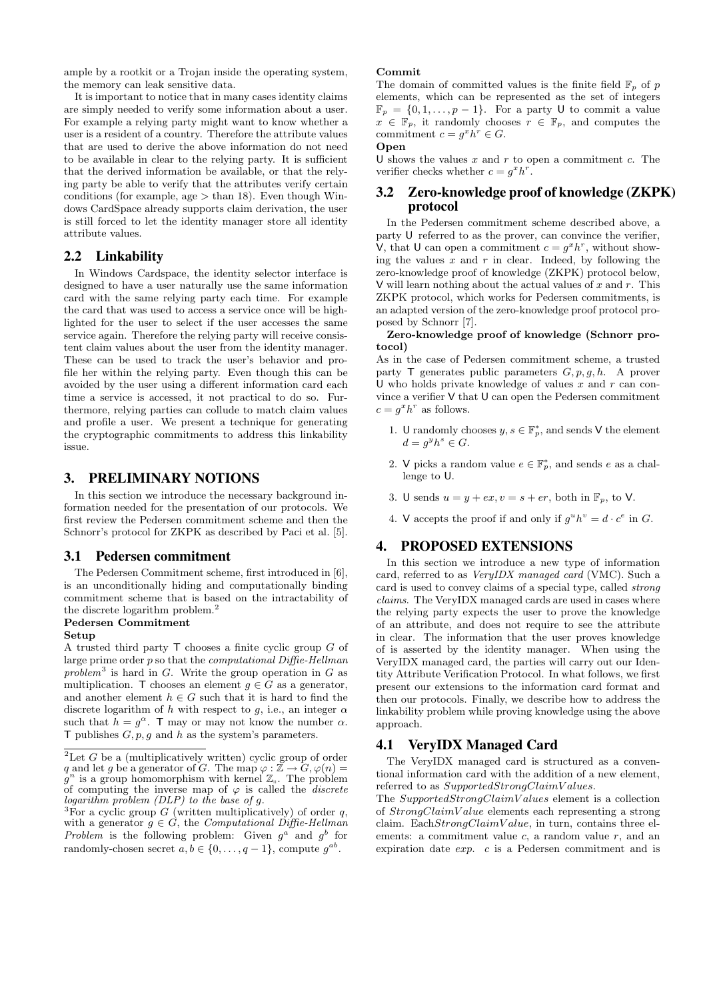ample by a rootkit or a Trojan inside the operating system, the memory can leak sensitive data.

It is important to notice that in many cases identity claims are simply needed to verify some information about a user. For example a relying party might want to know whether a user is a resident of a country. Therefore the attribute values that are used to derive the above information do not need to be available in clear to the relying party. It is sufficient that the derived information be available, or that the relying party be able to verify that the attributes verify certain conditions (for example,  $\text{age} > \text{than } 18$ ). Even though Windows CardSpace already supports claim derivation, the user is still forced to let the identity manager store all identity attribute values.

# 2.2 Linkability

In Windows Cardspace, the identity selector interface is designed to have a user naturally use the same information card with the same relying party each time. For example the card that was used to access a service once will be highlighted for the user to select if the user accesses the same service again. Therefore the relying party will receive consistent claim values about the user from the identity manager. These can be used to track the user's behavior and profile her within the relying party. Even though this can be avoided by the user using a different information card each time a service is accessed, it not practical to do so. Furthermore, relying parties can collude to match claim values and profile a user. We present a technique for generating the cryptographic commitments to address this linkability issue.

## 3. PRELIMINARY NOTIONS

In this section we introduce the necessary background information needed for the presentation of our protocols. We first review the Pedersen commitment scheme and then the Schnorr's protocol for ZKPK as described by Paci et al. [5].

#### 3.1 Pedersen commitment

The Pedersen Commitment scheme, first introduced in [6], is an unconditionally hiding and computationally binding commitment scheme that is based on the intractability of the discrete logarithm problem.<sup>2</sup>

#### Pedersen Commitment

#### Setup

A trusted third party  $\mathsf T$  chooses a finite cyclic group  $G$  of large prime order p so that the computational Diffie-Hellman problem<sup>3</sup> is hard in G. Write the group operation in G as multiplication. T chooses an element  $g \in G$  as a generator, and another element  $h \in G$  such that it is hard to find the discrete logarithm of h with respect to q, i.e., an integer  $\alpha$ such that  $h = g^{\alpha}$ . T may or may not know the number  $\alpha$ . T publishes  $G, p, q$  and h as the system's parameters.

#### Commit

The domain of committed values is the finite field  $\mathbb{F}_p$  of p elements, which can be represented as the set of integers  $\mathbb{F}_p = \{0, 1, \ldots, p-1\}.$  For a party U to commit a value  $x \in \mathbb{F}_p$ , it randomly chooses  $r \in \mathbb{F}_p$ , and computes the commitment  $c = g^x h^r \in G$ .

#### Open

U shows the values  $x$  and  $r$  to open a commitment  $c$ . The verifier checks whether  $c = g^x h^r$ .

# 3.2 Zero-knowledge proof of knowledge (ZKPK) protocol

In the Pedersen commitment scheme described above, a party U referred to as the prover, can convince the verifier, V, that U can open a commitment  $c = g^x h^r$ , without showing the values  $x$  and  $r$  in clear. Indeed, by following the zero-knowledge proof of knowledge (ZKPK) protocol below, V will learn nothing about the actual values of  $x$  and  $r$ . This ZKPK protocol, which works for Pedersen commitments, is an adapted version of the zero-knowledge proof protocol proposed by Schnorr [7].

#### Zero-knowledge proof of knowledge (Schnorr protocol)

As in the case of Pedersen commitment scheme, a trusted party  $\mathsf T$  generates public parameters  $G, p, g, h$ . A prover U who holds private knowledge of values  $x$  and  $r$  can convince a verifier V that U can open the Pedersen commitment  $c = g^x h^r$  as follows.

- 1. U randomly chooses  $y, s \in \mathbb{F}_p^*$ , and sends V the element  $d = g^y h^s \in G.$
- 2. V picks a random value  $e \in \mathbb{F}_p^*$ , and sends e as a challenge to U.
- 3. U sends  $u = y + ex, v = s + er$ , both in  $\mathbb{F}_p$ , to V.
- 4. V accepts the proof if and only if  $g^u h^v = d \cdot c^e$  in G.

### 4. PROPOSED EXTENSIONS

In this section we introduce a new type of information card, referred to as VeryIDX managed card (VMC). Such a card is used to convey claims of a special type, called strong claims. The VeryIDX managed cards are used in cases where the relying party expects the user to prove the knowledge of an attribute, and does not require to see the attribute in clear. The information that the user proves knowledge of is asserted by the identity manager. When using the VeryIDX managed card, the parties will carry out our Identity Attribute Verification Protocol. In what follows, we first present our extensions to the information card format and then our protocols. Finally, we describe how to address the linkability problem while proving knowledge using the above approach.

## 4.1 VeryIDX Managed Card

The VeryIDX managed card is structured as a conventional information card with the addition of a new element, referred to as SupportedStrongClaimV alues.

The SupportedStrongClaimV alues element is a collection of StrongClaimV alue elements each representing a strong claim. Each $StrongClaimValue$ , in turn, contains three elements: a commitment value  $c$ , a random value  $r$ , and an expiration date exp. c is a Pedersen commitment and is

<sup>&</sup>lt;sup>2</sup>Let G be a (multiplicatively written) cyclic group of order q and let g be a generator of G. The map  $\varphi : \mathbb{Z} \to G$ ,  $\varphi(n) =$  $g^n$  is a group homomorphism with kernel  $\mathbb{Z}_p$ . The problem of computing the inverse map of  $\varphi$  is called the *discrete* logarithm problem (DLP) to the base of g.

<sup>&</sup>lt;sup>3</sup>For a cyclic group G (written multiplicatively) of order q, with a generator  $g \in G$ , the Computational Diffie-Hellman Problem is the following problem: Given  $g^a$  and  $g^b$  for randomly-chosen secret  $a, b \in \{0, ..., q-1\}$ , compute  $g^{ab}$ .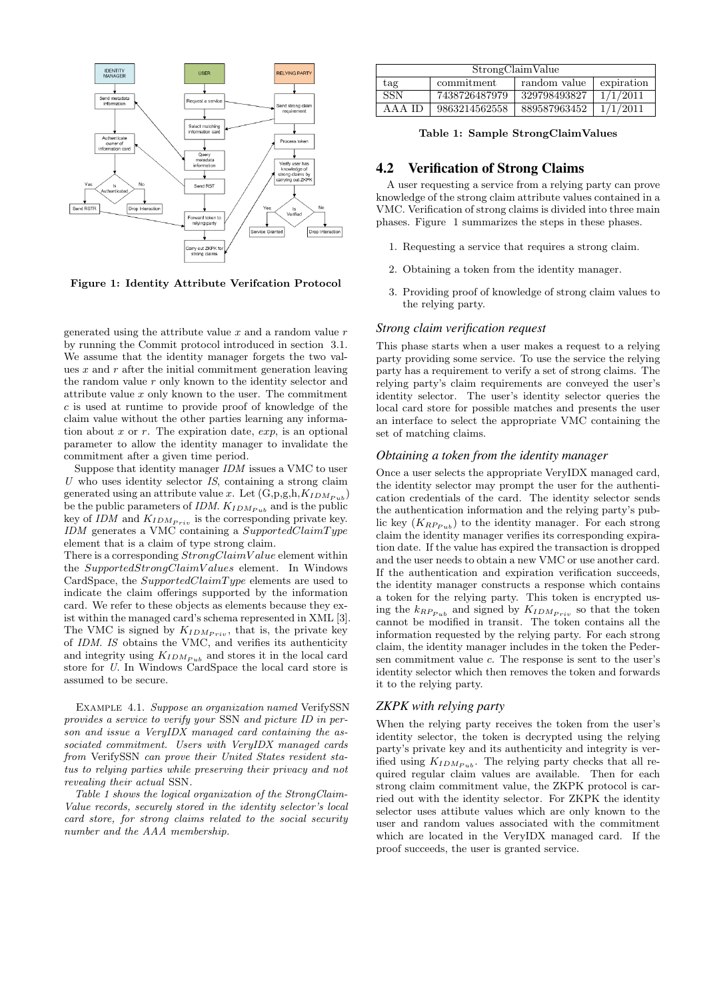

Figure 1: Identity Attribute Verifcation Protocol

generated using the attribute value  $x$  and a random value  $r$ by running the Commit protocol introduced in section 3.1. We assume that the identity manager forgets the two values  $x$  and  $r$  after the initial commitment generation leaving the random value  $r$  only known to the identity selector and attribute value  $x$  only known to the user. The commitment c is used at runtime to provide proof of knowledge of the claim value without the other parties learning any information about x or  $r$ . The expiration date,  $exp$ , is an optional parameter to allow the identity manager to invalidate the commitment after a given time period.

Suppose that identity manager IDM issues a VMC to user  $U$  who uses identity selector  $IS$ , containing a strong claim generated using an attribute value x. Let  $(G, p, g, h, K_{IDM_{Pub}})$ be the public parameters of IDM.  $K_{IDM_{Pub}}$  and is the public key of IDM and  $K_{IDM_{Priv}}$  is the corresponding private key.  $IDM$  generates a VMC containing a  $SupportedClaimType$ element that is a claim of type strong claim.

There is a corresponding StrongClaimV alue element within the SupportedStrongClaimV alues element. In Windows CardSpace, the SupportedClaimType elements are used to indicate the claim offerings supported by the information card. We refer to these objects as elements because they exist within the managed card's schema represented in XML [3]. The VMC is signed by  $K_{IDM_{Priv}}$ , that is, the private key of IDM. IS obtains the VMC, and verifies its authenticity and integrity using  $K_{IDM_{Pub}}$  and stores it in the local card store for U. In Windows CardSpace the local card store is assumed to be secure.

Example 4.1. Suppose an organization named VerifySSN provides a service to verify your SSN and picture ID in person and issue a VeryIDX managed card containing the associated commitment. Users with VeryIDX managed cards from VerifySSN can prove their United States resident status to relying parties while preserving their privacy and not revealing their actual SSN.

Table 1 shows the logical organization of the StrongClaim-Value records, securely stored in the identity selector's local card store, for strong claims related to the social security number and the AAA membership.

| StrongClaimValue |               |              |            |
|------------------|---------------|--------------|------------|
| tag              | commitment    | random value | expiration |
| <b>SSN</b>       | 7438726487979 | 329798493827 | 1/1/2011   |
| AAA ID           | 9863214562558 | 889587963452 | 1/1/2011   |

Table 1: Sample StrongClaimValues

### 4.2 Verification of Strong Claims

A user requesting a service from a relying party can prove knowledge of the strong claim attribute values contained in a VMC. Verification of strong claims is divided into three main phases. Figure 1 summarizes the steps in these phases.

- 1. Requesting a service that requires a strong claim.
- 2. Obtaining a token from the identity manager.
- 3. Providing proof of knowledge of strong claim values to the relying party.

#### *Strong claim verification request*

This phase starts when a user makes a request to a relying party providing some service. To use the service the relying party has a requirement to verify a set of strong claims. The relying party's claim requirements are conveyed the user's identity selector. The user's identity selector queries the local card store for possible matches and presents the user an interface to select the appropriate VMC containing the set of matching claims.

#### *Obtaining a token from the identity manager*

Once a user selects the appropriate VeryIDX managed card, the identity selector may prompt the user for the authentication credentials of the card. The identity selector sends the authentication information and the relying party's public key  $(K_{RP_{Pub}})$  to the identity manager. For each strong claim the identity manager verifies its corresponding expiration date. If the value has expired the transaction is dropped and the user needs to obtain a new VMC or use another card. If the authentication and expiration verification succeeds, the identity manager constructs a response which contains a token for the relying party. This token is encrypted using the  $k_{RP_{Pub}}$  and signed by  $K_{IDM_{Priv}}$  so that the token cannot be modified in transit. The token contains all the information requested by the relying party. For each strong claim, the identity manager includes in the token the Pedersen commitment value c. The response is sent to the user's identity selector which then removes the token and forwards it to the relying party.

#### *ZKPK with relying party*

When the relying party receives the token from the user's identity selector, the token is decrypted using the relying party's private key and its authenticity and integrity is verified using  $K_{IDM_{Pub}}$ . The relying party checks that all required regular claim values are available. Then for each strong claim commitment value, the ZKPK protocol is carried out with the identity selector. For ZKPK the identity selector uses attibute values which are only known to the user and random values associated with the commitment which are located in the VeryIDX managed card. If the proof succeeds, the user is granted service.